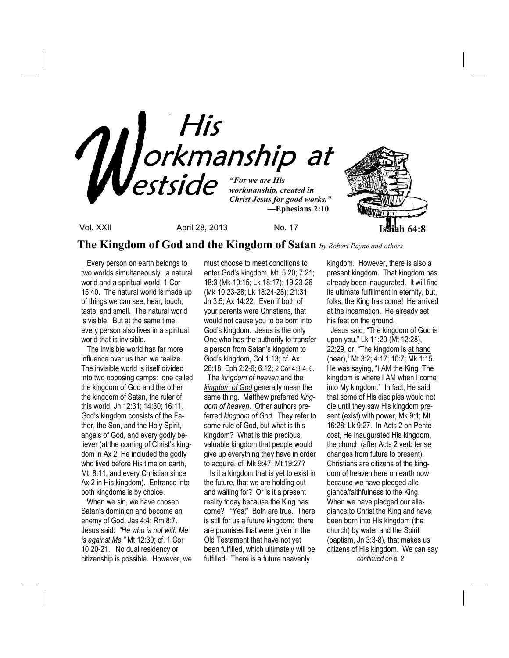

**The Kingdom of God and the Kingdom of Satan** *by Robert Payne and others*

 Every person on earth belongs to two worlds simultaneously: a natural world and a spiritual world, 1 Cor 15:40. The natural world is made up of things we can see, hear, touch, taste, and smell. The natural world is visible. But at the same time, every person also lives in a spiritual world that is invisible.

 The invisible world has far more influence over us than we realize. The invisible world is itself divided into two opposing camps: one called the kingdom of God and the other the kingdom of Satan, the ruler of this world, Jn 12:31; 14:30; 16:11. God's kingdom consists of the Father, the Son, and the Holy Spirit, angels of God, and every godly believer (at the coming of Christ's kingdom in Ax 2, He included the godly who lived before His time on earth, Mt 8:11, and every Christian since Ax 2 in His kingdom). Entrance into both kingdoms is by choice.

 When we sin, we have chosen Satan's dominion and become an enemy of God, Jas 4:4; Rm 8:7. Jesus said: *"He who is not with Me is against Me,"* Mt 12:30; cf. 1 Cor 10:20-21. No dual residency or citizenship is possible. However, we must choose to meet conditions to enter God's kingdom, Mt 5:20; 7:21; 18:3 (Mk 10:15; Lk 18:17); 19:23-26 (Mk 10:23-28; Lk 18:24-28); 21:31; Jn 3:5; Ax 14:22. Even if both of your parents were Christians, that would not cause you to be born into God's kingdom. Jesus is the only One who has the authority to transfer a person from Satan's kingdom to God's kingdom, Col 1:13; cf. Ax 26:18; Eph 2:2-6; 6:12; 2 Cor 4:3-4, 6. The *kingdom of heaven* and the *kingdom of God* generally mean the same thing. Matthew preferred *kingdom of heaven*. Other authors preferred *kingdom of God*. They refer to same rule of God, but what is this kingdom? What is this precious, valuable kingdom that people would give up everything they have in order to acquire, cf. Mk 9:47; Mt 19:27?

 Is it a kingdom that is yet to exist in the future, that we are holding out and waiting for? Or is it a present reality today because the King has come? "Yes!" Both are true. There is still for us a future kingdom: there are promises that were given in the Old Testament that have not yet been fulfilled, which ultimately will be fulfilled. There is a future heavenly

kingdom. However, there is also a present kingdom. That kingdom has already been inaugurated. It will find its ultimate fulfillment in eternity, but, folks, the King has come! He arrived at the incarnation. He already set his feet on the ground.

 Jesus said, "The kingdom of God is upon you," Lk 11:20 (Mt 12:28), 22:29, or, "The kingdom is at hand (near)," Mt 3:2; 4:17; 10:7; Mk 1:15. He was saying, "I AM the King. The kingdom is where I AM when I come into My kingdom." In fact, He said that some of His disciples would not die until they saw His kingdom present (exist) with power, Mk 9:1; Mt 16:28; Lk 9:27. In Acts 2 on Pentecost, He inaugurated His kingdom, the church (after Acts 2 verb tense changes from future to present). Christians are citizens of the kingdom of heaven here on earth now because we have pledged allegiance/faithfulness to the King. When we have pledged our allegiance to Christ the King and have been born into His kingdom (the church) by water and the Spirit (baptism, Jn 3:3-8), that makes us citizens of His kingdom. We can say  *continued on p. 2*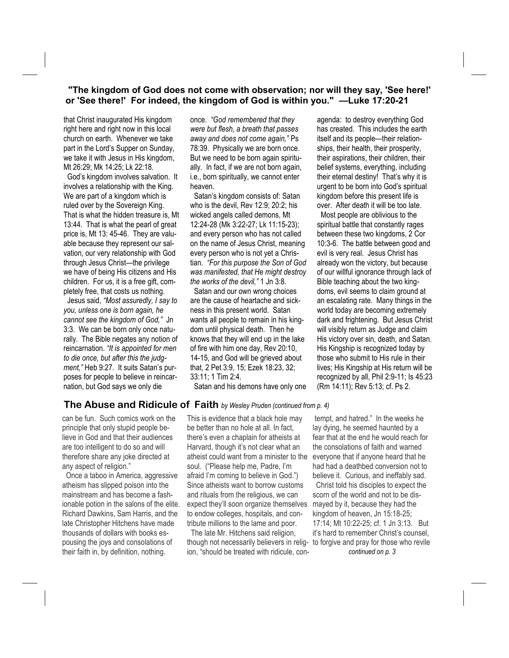## **"The kingdom of God does not come with observation; nor will they say, 'See here!' or 'See there!' For indeed, the kingdom of God is within you." —Luke 17:20-21**

that Christ inaugurated His kingdom right here and right now in this local church on earth. Whenever we take part in the Lord's Supper on Sunday, we take it with Jesus in His kingdom, Mt 26:29; Mk 14:25; Lk 22:18.

 God's kingdom involves salvation. It involves a relationship with the King. We are part of a kingdom which is ruled over by the Sovereign King. That is what the hidden treasure is, Mt 13:44. That is what the pearl of great price is, Mt 13: 45-46. They are valuable because they represent our salvation, our very relationship with God through Jesus Christ—the privilege we have of being His citizens and His children. For us, it is a free gift, completely free, that costs us nothing.

 Jesus said, *"Most assuredly, I say to you, unless one is born again, he cannot see the kingdom of God,"* Jn 3:3. We can be born only once naturally. The Bible negates any notion of reincarnation. *"It is appointed for men to die once, but after this the judgment,"* Heb 9:27. It suits Satan's purposes for people to believe in reincarnation, but God says we only die

once. *"God remembered that they were but flesh, a breath that passes away and does not come again,"* Ps 78:39. Physically we are born once. But we need to be born again spiritually. In fact, if we are not born again, i.e., born spiritually, we cannot enter heaven.

 Satan's kingdom consists of: Satan who is the devil, Rev 12:9; 20:2; his wicked angels called demons, Mt 12:24-28 (Mk 3:22-27; Lk 11:15-23); and every person who has not called on the name of Jesus Christ, meaning every person who is not yet a Christian. *"For this purpose the Son of God was manifested, that He might destroy the works of the devil,"* 1 Jn 3:8.

 Satan and our own wrong choices are the cause of heartache and sickness in this present world. Satan wants all people to remain in his kingdom until physical death. Then he knows that they will end up in the lake of fire with him one day, Rev 20:10, 14-15, and God will be grieved about that, 2 Pet 3:9, 15; Ezek 18:23, 32; 33:11; 1 Tim 2:4.

agenda: to destroy everything God has created. This includes the earth itself and its people—their relationships, their health, their prosperity, their aspirations, their children, their belief systems, everything, including their eternal destiny! That's why it is urgent to be born into God's spiritual kingdom before this present life is over. After death it will be too late.

 Most people are oblivious to the spiritual battle that constantly rages between these two kingdoms, 2 Cor 10:3-6. The battle between good and evil is very real. Jesus Christ has already won the victory, but because of our willful ignorance through lack of Bible teaching about the two kingdoms, evil seems to claim ground at an escalating rate. Many things in the world today are becoming extremely dark and frightening. But Jesus Christ will visibly return as Judge and claim His victory over sin, death, and Satan. His Kingship is recognized today by those who submit to His rule in their lives; His Kingship at His return will be recognized by all, Phil 2:9-11; Is 45:23 (Rm 14:11); Rev 5:13; cf. Ps 2.

Satan and his demons have only one

## **The Abuse and Ridicule of Faith** *by Wesley Pruden (continued from p. 4)*

can be fun. Such comics work on the principle that only stupid people believe in God and that their audiences are too intelligent to do so and will therefore share any joke directed at any aspect of religion."

 Once a taboo in America, aggressive atheism has slipped poison into the mainstream and has become a fashionable potion in the salons of the elite. Richard Dawkins, Sam Harris, and the late Christopher Hitchens have made thousands of dollars with books espousing the joys and consolations of their faith in, by definition, nothing.

This is evidence that a black hole may be better than no hole at all. In fact, there's even a chaplain for atheists at Harvard, though it's not clear what an atheist could want from a minister to the soul. ("Please help me, Padre, I'm afraid I'm coming to believe in God.") Since atheists want to borrow customs and rituals from the religious, we can expect they'll soon organize themselves to endow colleges, hospitals, and contribute millions to the lame and poor.

 The late Mr. Hitchens said religion, though not necessarily believers in religion, "should be treated with ridicule, con-

 tempt, and hatred." In the weeks he lay dying, he seemed haunted by a fear that at the end he would reach for the consolations of faith and warned everyone that if anyone heard that he had had a deathbed conversion not to believe it. Curious, and ineffably sad. Christ told his disciples to expect the scorn of the world and not to be dismayed by it, because they had the kingdom of heaven, Jn 15:18-25; 17:14; Mt 10:22-25; cf. 1 Jn 3:13. But it's hard to remember Christ's counsel, to forgive and pray for those who revile *continued on p. 3*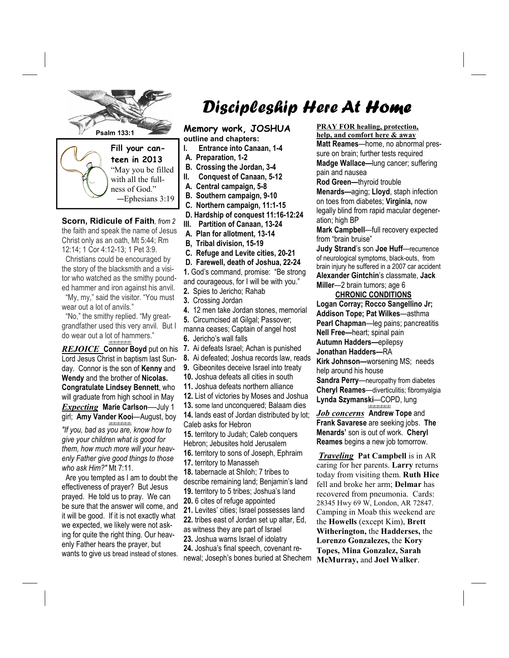

**Scorn, Ridicule of Faith***, from 2*  the faith and speak the name of Jesus Christ only as an oath, Mt 5:44; Rm 12:14; 1 Cor 4:12-13; 1 Pet 3:9.

 Christians could be encouraged by the story of the blacksmith and a visitor who watched as the smithy pounded hammer and iron against his anvil.

 "My, my," said the visitor. "You must wear out a lot of anvils."

 "No," the smithy replied. "My greatgrandfather used this very anvil. But I do wear out a lot of hammers." *+#+#+#+#+#+#+*

*REJOICE* Connor Boyd put on his Lord Jesus Christ in baptism last Sunday. Connor is the son of **Kenny** and **Wendy** and the brother of **Nicolas. Congratulate Lindsey Bennett**, who will graduate from high school in May *Expecting* **Marie Carlson**—-July 1 girl; **Amy Vander Kooi**—August, boy

*"If you, bad as you are, know how to give your children what is good for them, how much more will your heavenly Father give good things to those who ask Him?"* Mt 7:11.

*+#+#+#+#+#+#+*

 Are you tempted as I am to doubt the effectiveness of prayer? But Jesus prayed. He told us to pray. We can be sure that the answer will come, and it will be good. If it is not exactly what we expected, we likely were not asking for quite the right thing. Our heavenly Father hears the prayer, but wants to give us bread instead of stones.

# Discipleship Here At Home

**Psalm 133:1 Memory work, JOSHUA outline and chapters:** 

- **I. Entrance into Canaan, 1-4**
- **A. Preparation, 1-2**
- **B. Crossing the Jordan, 3-4**
- **II. Conquest of Canaan, 5-12**
- **A. Central campaign, 5-8**
- **B. Southern campaign, 9-10**
- **C. Northern campaign, 11:1-15**
- **D. Hardship of conquest 11:16-12:24**
- **III. Partition of Canaan, 13-24**
- **A. Plan for allotment, 13-14**
- **B, Tribal division, 15-19**
- **C. Refuge and Levite cities, 20-21**
- **D. Farewell, death of Joshua, 22-24**

**1.** God's command, promise: "Be strong and courageous, for I will be with you."

- **2.** Spies to Jericho; Rahab
- **3.** Crossing Jordan
- **4.** 12 men take Jordan stones, memorial
- **5.** Circumcised at Gilgal; Passover;
- manna ceases; Captain of angel host
- **6.** Jericho's wall falls
- **7.** Ai defeats Israel; Achan is punished
- **8.** Ai defeated; Joshua records law, reads
- **9.** Gibeonites deceive Israel into treaty
- **10.** Joshua defeats all cities in south
- **11.** Joshua defeats northern alliance
- **12.** List of victories by Moses and Joshua
- **13.** some land unconquered; Balaam dies
- **14.** lands east of Jordan distributed by lot; Caleb asks for Hebron
- **15.** territory to Judah; Caleb conquers Hebron; Jebusites hold Jerusalem
- **16.** territory to sons of Joseph, Ephraim
- **17.** territory to Manasseh
- **18.** tabernacle at Shiloh; 7 tribes to describe remaining land; Benjamin's land **19.** territory to 5 tribes; Joshua's land
- **20.** 6 cites of refuge appointed
- 
- **21.** Levites' cities; Israel possesses land **22.** tribes east of Jordan set up altar, Ed,
- as witness they are part of Israel
- **23.** Joshua warns Israel of idolatry
- **24.** Joshua's final speech, covenant renewal; Joseph's bones buried at Shechem

**PRAY FOR healing, protection,**

**help, and comfort here & away Matt Reames**—home, no abnormal pressure on brain; further tests required **Madge Wallace—**lung cancer; suffering pain and nausea

**Rod Green—**thyroid trouble

**Menards—**aging; **Lloyd**, staph infection on toes from diabetes; **Virginia,** now legally blind from rapid macular degeneration; high BP

**Mark Campbell**—full recovery expected from "brain bruise"

**Judy Strand**'s son **Joe Huff**—recurrence of neurological symptoms, black-outs, from brain injury he suffered in a 2007 car accident **Alexander Gintchin**'s classmate, **Jack Miller**—2 brain tumors; age 6

#### **CHRONIC CONDITIONS**

**Logan Corray; Rocco Sangellino Jr; Addison Tope; Pat Wilkes**—asthma **Pearl Chapman**—leg pains; pancreatitis **Nell Free—**heart; spinal pain **Autumn Hadders—**epilepsy **Jonathan Hadders—**RA **Kirk Johnson—**worsening MS; needs

help around his house

**Sandra Perry**—neuropathy from diabetes **Cheryl Reames**—diverticulitis; fibromyalgia **Lynda Szymanski**—COPD, lung *+#+#+#+#+#+#+*

*Job concerns* **Andrew Tope** and **Frank Savarese** are seeking jobs. **The Menards'** son is out of work. **Cheryl Reames** begins a new job tomorrow.

*Traveling* **Pat Campbell** is in AR caring for her parents. **Larry** returns today from visiting them. **Ruth Hice**  fell and broke her arm; **Delmar** has recovered from pneumonia. Cards: 28345 Hwy 69 W, London, AR 72847. Camping in Moab this weekend are the **Howells** (except Kim), **Brett Witherington,** the **Hadderses,** the **Lorenzo Gonzalezes,** the **Kory Topes, Mina Gonzalez, Sarah McMurray,** and **Joel Walker**.